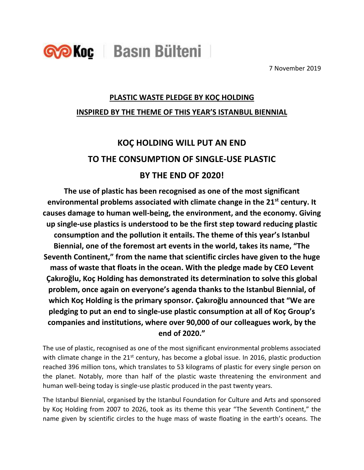

7 November 2019

## **PLASTIC WASTE PLEDGE BY KOÇ HOLDING INSPIRED BY THE THEME OF THIS YEAR'S ISTANBUL BIENNIAL**

# **KOÇ HOLDING WILL PUT AN END TO THE CONSUMPTION OF SINGLE-USE PLASTIC BY THE END OF 2020!**

**The use of plastic has been recognised as one of the most significant environmental problems associated with climate change in the 21st century. It causes damage to human well-being, the environment, and the economy. Giving up single-use plastics is understood to be the first step toward reducing plastic consumption and the pollution it entails. The theme of this year's Istanbul Biennial, one of the foremost art events in the world, takes its name, "The Seventh Continent," from the name that scientific circles have given to the huge mass of waste that floats in the ocean. With the pledge made by CEO Levent Çakıroğlu, Koç Holding has demonstrated its determination to solve this global problem, once again on everyone's agenda thanks to the Istanbul Biennial, of which Koç Holding is the primary sponsor. Çakıroğlu announced that "We are pledging to put an end to single-use plastic consumption at all of Koç Group's companies and institutions, where over 90,000 of our colleagues work, by the end of 2020."**

The use of plastic, recognised as one of the most significant environmental problems associated with climate change in the  $21<sup>st</sup>$  century, has become a global issue. In 2016, plastic production reached 396 million tons, which translates to 53 kilograms of plastic for every single person on the planet. Notably, more than half of the plastic waste threatening the environment and human well-being today is single-use plastic produced in the past twenty years.

The Istanbul Biennial, organised by the Istanbul Foundation for Culture and Arts and sponsored by Koç Holding from 2007 to 2026, took as its theme this year "The Seventh Continent," the name given by scientific circles to the huge mass of waste floating in the earth's oceans. The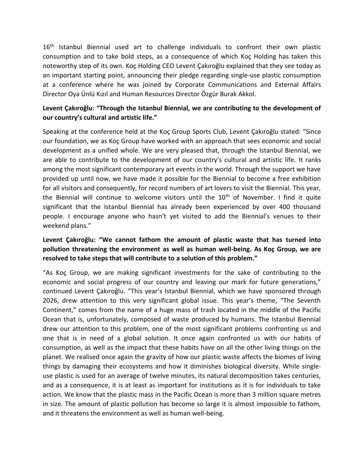16<sup>th</sup> Istanbul Biennial used art to challenge individuals to confront their own plastic consumption and to take bold steps, as a consequence of which Koç Holding has taken this noteworthy step of its own. Koç Holding CEO Levent Çakıroğlu explained that they see today as an important starting point, announcing their pledge regarding single-use plastic consumption at a conference where he was joined by Corporate Communications and External Affairs Director Oya Ünlü Kızıl and Human Resources Director Özgür Burak Akkol.

#### **Levent Çakıroğlu: "Through the Istanbul Biennial, we are contributing to the development of our country's cultural and artistic life."**

Speaking at the conference held at the Koç Group Sports Club, Levent Çakıroğlu stated: "Since our foundation, we as Koç Group have worked with an approach that sees economic and social development as a unified whole. We are very pleased that, through the Istanbul Biennial, we are able to contribute to the development of our country's cultural and artistic life. It ranks among the most significant contemporary art events in the world. Through the support we have provided up until now, we have made it possible for the Biennial to become a free exhibition for all visitors and consequently, for record numbers of art lovers to visit the Biennial. This year, the Biennial will continue to welcome visitors until the 10<sup>th</sup> of November. I find it quite significant that the Istanbul Biennial has already been experienced by over 400 thousand people. I encourage anyone who hasn't yet visited to add the Biennial's venues to their weekend plans."

#### **Levent Çakıroğlu: "We cannot fathom the amount of plastic waste that has turned into pollution threatening the environment as well as human well-being. As Koç Group, we are resolved to take steps that will contribute to a solution of this problem."**

"As Koç Group, we are making significant investments for the sake of contributing to the economic and social progress of our country and leaving our mark for future generations," continued Levent Çakıroğlu. "This year's Istanbul Biennial, which we have sponsored through 2026, drew attention to this very significant global issue. This year's theme, "The Seventh Continent," comes from the name of a huge mass of trash located in the middle of the Pacific Ocean that is, unfortunately, composed of waste produced by humans. The Istanbul Biennial drew our attention to this problem, one of the most significant problems confronting us and one that is in need of a global solution. It once again confronted us with our habits of consumption, as well as the impact that these habits have on all the other living things on the planet. We realised once again the gravity of how our plastic waste affects the biomes of living things by damaging their ecosystems and how it diminishes biological diversity. While singleuse plastic is used for an average of twelve minutes, its natural decomposition takes centuries, and as a consequence, it is at least as important for institutions as it is for individuals to take action. We know that the plastic mass in the Pacific Ocean is more than 3 million square metres in size. The amount of plastic pollution has become so large it is almost impossible to fathom, and it threatens the environment as well as human well-being.